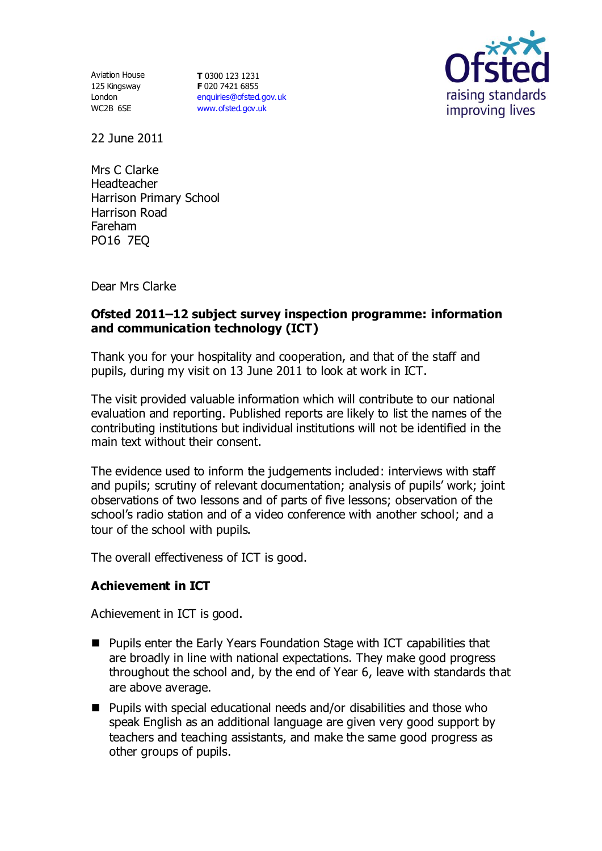Aviation House 125 Kingsway London WC2B 6SE

**T** 0300 123 1231 **F** 020 7421 6855 [enquiries@ofsted.gov.uk](mailto:enquiries@ofsted.gov.uk) [www.ofsted.gov.uk](http://www.ofsted.gov.uk/)



22 June 2011

Mrs C Clarke Headteacher Harrison Primary School Harrison Road Fareham PO16 7EQ

Dear Mrs Clarke

### **Ofsted 2011–12 subject survey inspection programme: information and communication technology (ICT)**

Thank you for your hospitality and cooperation, and that of the staff and pupils, during my visit on 13 June 2011 to look at work in ICT.

The visit provided valuable information which will contribute to our national evaluation and reporting. Published reports are likely to list the names of the contributing institutions but individual institutions will not be identified in the main text without their consent.

The evidence used to inform the judgements included: interviews with staff and pupils; scrutiny of relevant documentation; analysis of pupils' work; joint observations of two lessons and of parts of five lessons; observation of the school's radio station and of a video conference with another school; and a tour of the school with pupils.

The overall effectiveness of ICT is good.

### **Achievement in ICT**

Achievement in ICT is good.

- Pupils enter the Early Years Foundation Stage with ICT capabilities that are broadly in line with national expectations. They make good progress throughout the school and, by the end of Year 6, leave with standards that are above average.
- Pupils with special educational needs and/or disabilities and those who speak English as an additional language are given very good support by teachers and teaching assistants, and make the same good progress as other groups of pupils.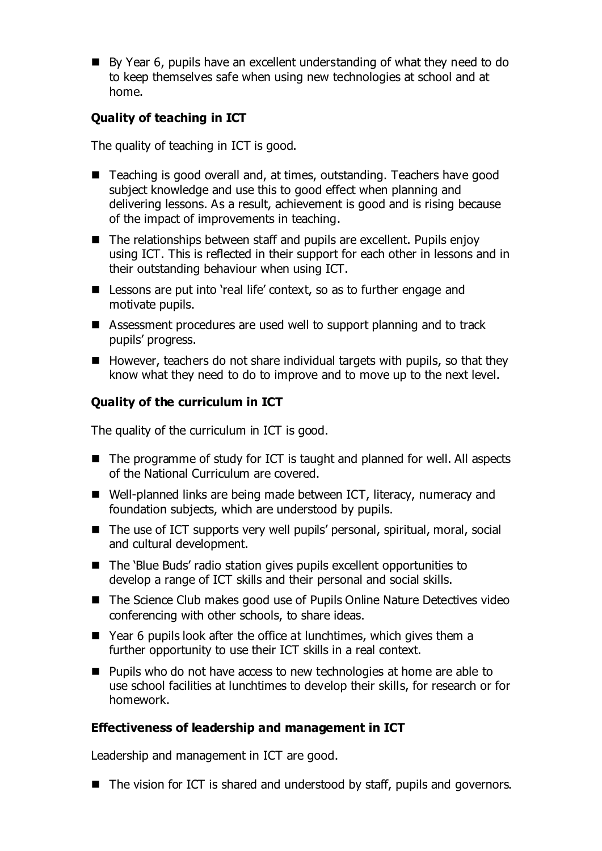By Year 6, pupils have an excellent understanding of what they need to do to keep themselves safe when using new technologies at school and at home.

# **Quality of teaching in ICT**

The quality of teaching in ICT is good.

- Teaching is good overall and, at times, outstanding. Teachers have good subject knowledge and use this to good effect when planning and delivering lessons. As a result, achievement is good and is rising because of the impact of improvements in teaching.
- The relationships between staff and pupils are excellent. Pupils enjoy using ICT. This is reflected in their support for each other in lessons and in their outstanding behaviour when using ICT.
- Lessons are put into 'real life' context, so as to further engage and motivate pupils.
- Assessment procedures are used well to support planning and to track pupils' progress.
- $\blacksquare$  However, teachers do not share individual targets with pupils, so that they know what they need to do to improve and to move up to the next level.

# **Quality of the curriculum in ICT**

The quality of the curriculum in ICT is good.

- The programme of study for ICT is taught and planned for well. All aspects of the National Curriculum are covered.
- Well-planned links are being made between ICT, literacy, numeracy and foundation subjects, which are understood by pupils.
- The use of ICT supports very well pupils' personal, spiritual, moral, social and cultural development.
- The 'Blue Buds' radio station gives pupils excellent opportunities to develop a range of ICT skills and their personal and social skills.
- The Science Club makes good use of Pupils Online Nature Detectives video conferencing with other schools, to share ideas.
- Year 6 pupils look after the office at lunchtimes, which gives them a further opportunity to use their ICT skills in a real context.
- Pupils who do not have access to new technologies at home are able to use school facilities at lunchtimes to develop their skills, for research or for homework.

## **Effectiveness of leadership and management in ICT**

Leadership and management in ICT are good.

■ The vision for ICT is shared and understood by staff, pupils and governors.